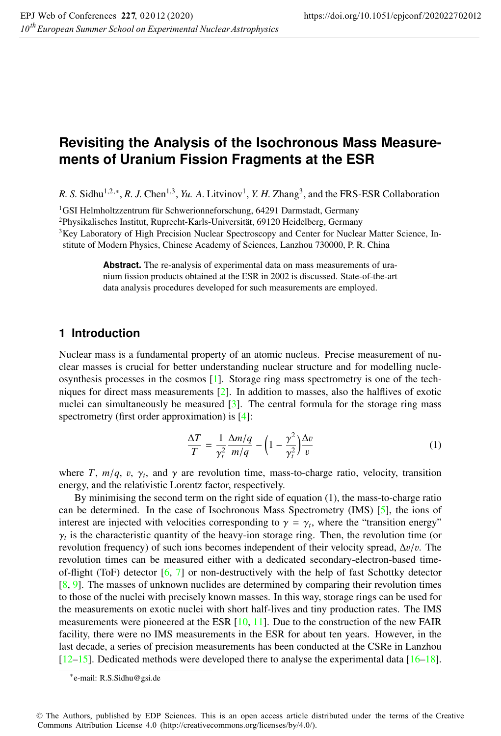# **Revisiting the Analysis of the Isochronous Mass Measurements of Uranium Fission Fragments at the ESR**

*R. S.* Sidhu<sup>1,2,\*</sup>, *R. J.* Chen<sup>1,3</sup>, *Yu. A.* Litvinov<sup>1</sup>, *Y. H.* Zhang<sup>3</sup>, and the FRS-ESR Collaboration

1GSI Helmholtzzentrum für Schwerionneforschung, 64291 Darmstadt, Germany

2Physikalisches Institut, Ruprecht-Karls-Universität, 69120 Heidelberg, Germany

<sup>3</sup>Key Laboratory of High Precision Nuclear Spectroscopy and Center for Nuclear Matter Science, Institute of Modern Physics, Chinese Academy of Sciences, Lanzhou 730000, P. R. China

> **Abstract.** The re-analysis of experimental data on mass measurements of uranium fission products obtained at the ESR in 2002 is discussed. State-of-the-art data analysis procedures developed for such measurements are employed.

### **1 Introduction**

Nuclear mass is a fundamental property of an atomic nucleus. Precise measurement of nuclear masses is crucial for better understanding nuclear structure and for modelling nucleosynthesis processes in the cosmos [1]. Storage ring mass spectrometry is one of the techniques for direct mass measurements [2]. In addition to masses, also the halflives of exotic nuclei can simultaneously be measured [3]. The central formula for the storage ring mass spectrometry (first order approximation) is [4]:

$$
\frac{\Delta T}{T} = \frac{1}{\gamma_t^2} \frac{\Delta m/q}{m/q} - \left(1 - \frac{\gamma^2}{\gamma_t^2}\right) \frac{\Delta v}{v} \tag{1}
$$

where *T*,  $m/q$ , v,  $\gamma_t$ , and  $\gamma$  are revolution time, mass-to-charge ratio, velocity, transition energy, and the relativistic Lorentz factor, respectively.

By minimising the second term on the right side of equation (1), the mass-to-charge ratio can be determined. In the case of Isochronous Mass Spectrometry (IMS) [5], the ions of interest are injected with velocities corresponding to  $\gamma = \gamma_t$ , where the "transition energy"  $\gamma_t$  is the characteristic quantity of the heavy-ion storage ring. Then, the revolution time (or revolution frequency) of such ions becomes independent of their velocity spread,  $\Delta v/v$ . The revolution times can be measured either with a dedicated secondary-electron-based timeof-flight (ToF) detector  $[6, 7]$  or non-destructively with the help of fast Schottky detector [8, 9]. The masses of unknown nuclides are determined by comparing their revolution times to those of the nuclei with precisely known masses. In this way, storage rings can be used for the measurements on exotic nuclei with short half-lives and tiny production rates. The IMS measurements were pioneered at the ESR  $[10, 11]$ . Due to the construction of the new FAIR facility, there were no IMS measurements in the ESR for about ten years. However, in the last decade, a series of precision measurements has been conducted at the CSRe in Lanzhou [12–15]. Dedicated methods were developed there to analyse the experimental data [16–18].

<sup>∗</sup>e-mail: R.S.Sidhu@gsi.de

<sup>©</sup> The Authors, published by EDP Sciences. This is an open access article distributed under the terms of the Creative Commons Attribution License 4.0 (http://creativecommons.org/licenses/by/4.0/).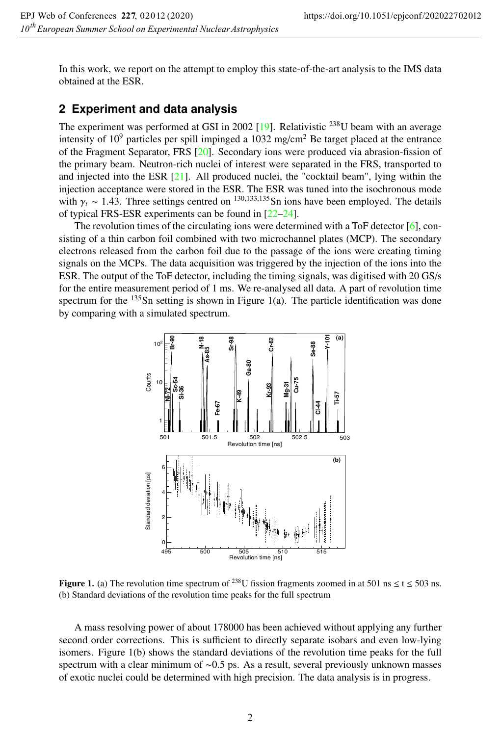In this work, we report on the attempt to employ this state-of-the-art analysis to the IMS data obtained at the ESR.

## **2 Experiment and data analysis**

The experiment was performed at GSI in 2002 [19]. Relativistic <sup>238</sup>U beam with an average intensity of  $10^9$  particles per spill impinged a  $1032$  mg/cm<sup>2</sup> Be target placed at the entrance of the Fragment Separator, FRS [20]. Secondary ions were produced via abrasion-fission of the primary beam. Neutron-rich nuclei of interest were separated in the FRS, transported to and injected into the ESR [21]. All produced nuclei, the "cocktail beam", lying within the injection acceptance were stored in the ESR. The ESR was tuned into the isochronous mode with  $\gamma_t \sim 1.43$ . Three settings centred on <sup>130,133,135</sup>Sn ions have been employed. The details of typical FRS-ESR experiments can be found in [22–24].

The revolution times of the circulating ions were determined with a ToF detector  $[6]$ , consisting of a thin carbon foil combined with two microchannel plates (MCP). The secondary electrons released from the carbon foil due to the passage of the ions were creating timing signals on the MCPs. The data acquisition was triggered by the injection of the ions into the ESR. The output of the ToF detector, including the timing signals, was digitised with 20 GS/s for the entire measurement period of 1 ms. We re-analysed all data. A part of revolution time spectrum for the  $135$ Sn setting is shown in Figure 1(a). The particle identification was done by comparing with a simulated spectrum.



**Figure 1.** (a) The revolution time spectrum of <sup>238</sup>U fission fragments zoomed in at 501 ns  $\leq t \leq 503$  ns. (b) Standard deviations of the revolution time peaks for the full spectrum

A mass resolving power of about 178000 has been achieved without applying any further second order corrections. This is sufficient to directly separate isobars and even low-lying isomers. Figure 1(b) shows the standard deviations of the revolution time peaks for the full spectrum with a clear minimum of ~0.5 ps. As a result, several previously unknown masses of exotic nuclei could be determined with high precision. The data analysis is in progress.